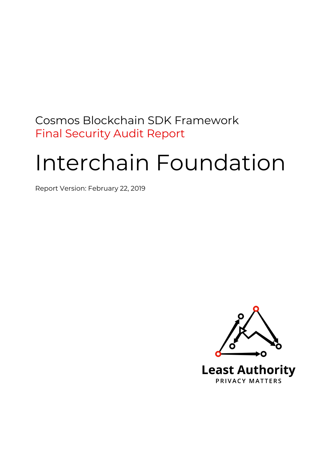# Cosmos Blockchain SDK Framework Final Security Audit Report

# Interchain Foundation

Report Version: February 22, 2019

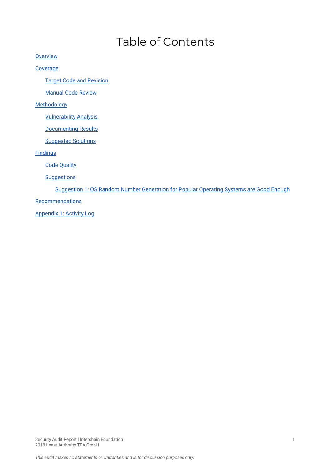# Table of Contents

**[Overview](#page-2-0)** 

**[Coverage](#page-2-1)** 

Target Code and [Revision](#page-2-2)

**[Manual](#page-3-0) Code Review** 

**[Methodology](#page-3-1)** 

[Vulnerability](#page-3-2) Analysis

[Documenting](#page-3-3) Results

**[Suggested](#page-3-4) Solutions** 

**[Findings](#page-4-0)** 

Code [Quality](#page-4-1)

**Suggestions** 

[Suggestion](#page-4-2) 1: OS Random Number Generation for Popular Operating Systems are Good Enough

**[Recommendations](#page-5-0)** 

[Appendix](#page-5-1) 1: Activity Log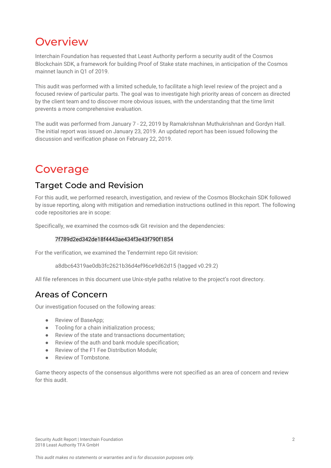# <span id="page-2-0"></span>**Overview**

Interchain Foundation has requested that Least Authority perform a security audit of the Cosmos Blockchain SDK, a framework for building Proof of Stake state machines, in anticipation of the Cosmos mainnet launch in Q1 of 2019.

This audit was performed with a limited schedule, to facilitate a high level review of the project and a focused review of particular parts. The goal was to investigate high priority areas of concern as directed by the client team and to discover more obvious issues, with the understanding that the time limit prevents a more comprehensive evaluation.

The audit was performed from January 7 - 22, 2019 by Ramakrishnan Muthukrishnan and Gordyn Hall. The initial report was issued on January 23, 2019. An updated report has been issued following the discussion and verification phase on February 22, 2019.

# <span id="page-2-1"></span>Coverage

### <span id="page-2-2"></span>Target Code and Revision

For this audit, we performed research, investigation, and review of the Cosmos Blockchain SDK followed by issue reporting, along with mitigation and remediation instructions outlined in this report. The following code repositories are in scope:

Specifically, we examined the cosmos-sdk Git revision and the dependencies:

#### 7f789d2ed342de18f4443ae434f3e43f790f1854

For the verification, we examined the Tendermint repo Git revision:

a8dbc64319ae0db3fc2621b36d4ef96ce9d62d15 (tagged v0.29.2)

All file references in this document use Unix-style paths relative to the project's root directory.

### Areas of Concern

Our investigation focused on the following areas:

- Review of BaseApp;
- Tooling for a chain initialization process;
- Review of the state and transactions documentation;
- Review of the auth and bank module specification;
- Review of the F1 Fee Distribution Module;
- Review of Tombstone.

Game theory aspects of the consensus algorithms were not specified as an area of concern and review for this audit.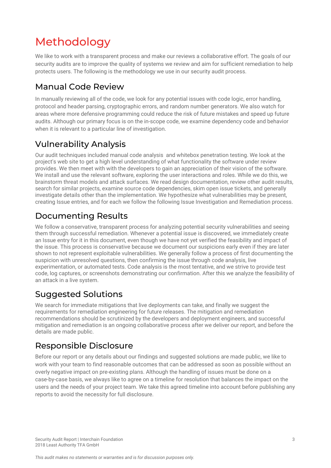# <span id="page-3-1"></span>Methodology

We like to work with a transparent process and make our reviews a collaborative effort. The goals of our security audits are to improve the quality of systems we review and aim for sufficient remediation to help protects users. The following is the methodology we use in our security audit process.

# <span id="page-3-0"></span>Manual Code Review

In manually reviewing all of the code, we look for any potential issues with code logic, error handling, protocol and header parsing, cryptographic errors, and random number generators. We also watch for areas where more defensive programming could reduce the risk of future mistakes and speed up future audits. Although our primary focus is on the in-scope code, we examine dependency code and behavior when it is relevant to a particular line of investigation.

# <span id="page-3-2"></span>Vulnerability Analysis

Our audit techniques included manual code analysis and whitebox penetration testing. We look at the project's web site to get a high level understanding of what functionality the software under review provides. We then meet with with the developers to gain an appreciation of their vision of the software. We install and use the relevant software, exploring the user interactions and roles. While we do this, we brainstorm threat models and attack surfaces. We read design documentation, review other audit results, search for similar projects, examine source code dependencies, skim open issue tickets, and generally investigate details other than the implementation. We hypothesize what vulnerabilities may be present, creating Issue entries, and for each we follow the following Issue Investigation and Remediation process.

# <span id="page-3-3"></span>Documenting Results

We follow a conservative, transparent process for analyzing potential security vulnerabilities and seeing them through successful remediation. Whenever a potential issue is discovered, we immediately create an Issue entry for it in this document, even though we have not yet verified the feasibility and impact of the issue. This process is conservative because we document our suspicions early even if they are later shown to not represent exploitable vulnerabilities. We generally follow a process of first documenting the suspicion with unresolved questions, then confirming the issue through code analysis, live experimentation, or automated tests. Code analysis is the most tentative, and we strive to provide test code, log captures, or screenshots demonstrating our confirmation. After this we analyze the feasibility of an attack in a live system.

## <span id="page-3-4"></span>Suggested Solutions

We search for immediate mitigations that live deployments can take, and finally we suggest the requirements for remediation engineering for future releases. The mitigation and remediation recommendations should be scrutinized by the developers and deployment engineers, and successful mitigation and remediation is an ongoing collaborative process after we deliver our report, and before the details are made public.

### Responsible Disclosure

Before our report or any details about our findings and suggested solutions are made public, we like to work with your team to find reasonable outcomes that can be addressed as soon as possible without an overly negative impact on pre-existing plans. Although the handling of issues must be done on a case-by-case basis, we always like to agree on a timeline for resolution that balances the impact on the users and the needs of your project team. We take this agreed timeline into account before publishing any reports to avoid the necessity for full disclosure.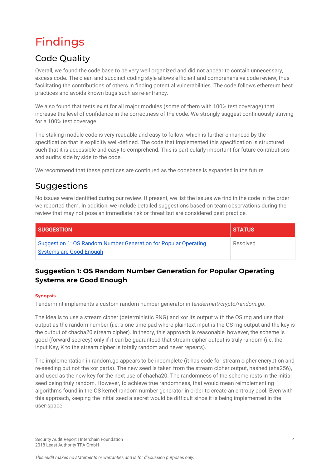# <span id="page-4-0"></span>Findings

# <span id="page-4-1"></span>Code Quality

Overall, we found the code base to be very well organized and did not appear to contain unnecessary, excess code. The clean and succinct coding style allows efficient and comprehensive code review, thus facilitating the contributions of others in finding potential vulnerabilities. The code follows ethereum best practices and avoids known bugs such as re-entrancy.

We also found that tests exist for all major modules (some of them with 100% test coverage) that increase the level of confidence in the correctness of the code. We strongly suggest continuously striving for a 100% test coverage.

The staking module code is very readable and easy to follow, which is further enhanced by the specification that is explicitly well-defined. The code that implemented this specification is structured such that it is accessible and easy to comprehend. This is particularly important for future contributions and audits side by side to the code.

We recommend that these practices are continued as the codebase is expanded in the future.

### Suggestions

No issues were identified during our review. If present, we list the issues we find in the code in the order we reported them. In addition, we include detailed suggestions based on team observations during the review that may not pose an immediate risk or threat but are considered best practice.

| <b>SUGGESTION</b>                                                                                        | <b>STATUS</b> |
|----------------------------------------------------------------------------------------------------------|---------------|
| <b>Suggestion 1: OS Random Number Generation for Popular Operating</b><br><b>Systems are Good Enough</b> | Resolved      |

### <span id="page-4-2"></span>**Suggestion 1: OS Random Number Generation for Popular Operating Systems are Good Enough**

#### **Synopsis**

Tendermint implements a custom random number generator in *tendermint/crypto/random.go*.

The idea is to use a stream cipher (deterministic RNG) and xor its output with the OS rng and use that output as the random number (i.e. a one time pad where plaintext input is the OS rng output and the key is the output of chacha20 stream cipher). In theory, this approach is reasonable, however, the scheme is good (forward secrecy) only if it can be guaranteed that stream cipher output is truly random (i.e. the input Key, K to the stream cipher is totally random and never repeats).

The implementation in random.go appears to be incomplete (it has code for stream cipher encryption and re-seeding but not the xor parts). The new seed is taken from the stream cipher output, hashed (sha256), and used as the new key for the next use of chacha20. The randomness of the scheme rests in the initial seed being truly random. However, to achieve true randomness, that would mean reimplementing algorithms found in the OS kernel random number generator in order to create an entropy pool. Even with this approach, keeping the initial seed a secret would be difficult since it is being implemented in the user-space.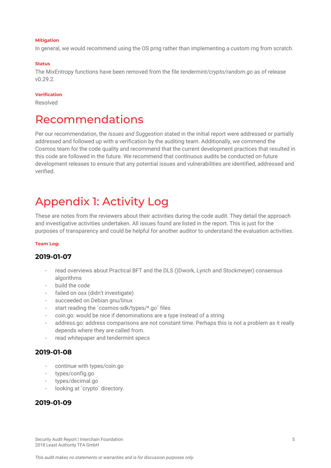#### **Mitigation**

In general, we would recommend using the OS prng rather than implementing a custom rng from scratch.

#### **Status**

The MixEntropy functions have been removed from the file *tendermint/crypto/random.go* as of release v0.29.2.

#### **Verification**

Resolved

# <span id="page-5-0"></span>Recommendations

Per our recommendation, the *Issues and Suggestion* stated in the initial report were addressed or partially addressed and followed up with a verification by the auditing team. Additionally, we commend the Cosmos team for the code quality and recommend that the current development practices that resulted in this code are followed in the future. We recommend that continuous audits be conducted on future development releases to ensure that any potential issues and vulnerabilities are identified, addressed and verified.

# <span id="page-5-1"></span>Appendix 1: Activity Log

These are notes from the reviewers about their activities during the code audit. They detail the approach and investigative activities undertaken. All issues found are listed in the report. This is just for the purposes of transparency and could be helpful for another auditor to understand the evaluation activities.

#### **Team Log:**

#### **2019-01-07**

- read overviews about Practical BFT and the DLS ()Dwork, Lynch and Stockmeyer) consensus algorithms
- build the code
- failed on osx (didn't investigate)
- succeeded on Debian gnu/linux
- start reading the `cosmos-sdk/types/\*.go` files
- coin.go: would be nice if denominations are a type instead of a string
- address.go: address comparisons are not constant time. Perhaps this is not a problem as it really depends where they are called from.
- read whitepaper and tendermint specs

#### **2019-01-08**

- continue with types/coin.go
- types/config.go
- types/decimal.go
- looking at `crypto` directory.

#### **2019-01-09**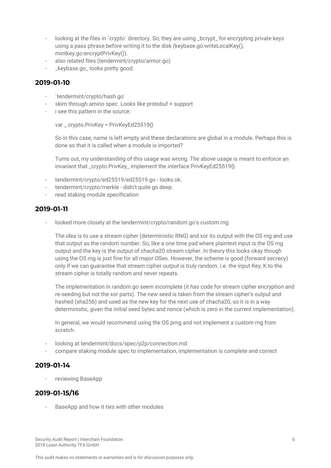- looking at the files in `crypto` directory. So, they are using \_bcrypt\_ for encrypting private keys using a pass phrase before writing it to the disk (keybase.go:writeLocalKey(), mintkey.go:encryptPrivKey()).
- also related files (tendermint/crypto/armor.go)
- \_keybase.go\_ looks pretty good.

#### **2019-01-10**

- `tendermint/crypto/hash.go`
- skim through amino spec. Looks like protobuf + support
- i see this pattern in the source:

var \_ crypto.PrivKey = PrivKeyEd25519{}

So in this case, name is left empty and these declarations are global in a module. Perhaps this is done so that it is called when a module is imported?

Turns out, my understanding of this usage was wrong. The above usage is meant to enforce an invariant that \_crypto.PrivKey\_ implement the interface PrivKeyEd25519{}

- tendermint/crypto/ed25519/ed25519.go looks ok.
- tendermint/crypto/merkle didn't quite go deep.
- read staking module specification

#### **2019-01-11**

looked more closely at the tendermint/crypto/random.go's custom rng.

The idea is to use a stream cipher (deterministic RNG) and xor its output with the OS rng and use that output as the random number. So, like a one time pad where plaintext input is the OS rng output and the key is the output of chacha20 stream cipher. In theory this looks okay though using the OS rng is just fine for all major OSes. However, the scheme is good (forward secrecy) only if we can guarantee that stream cipher output is truly random. i.e. the input Key, K to the stream cipher is totally random and never repeats.

The implementation in random.go seem incomplete (it has code for stream cipher encryption and re-seeding but not the xor parts). The new seed is taken from the stream cipher's output and hashed (sha256) and used as the new key for the next use of chacha20, so it is in a way deterministic, given the initial seed bytes and nonce (which is zero in the current implementation).

In general, we would recommend using the OS prng and not implement a custom rng from scratch.

- looking at tendermint/docs/spec/p2p/connection.md
- compare staking module spec to implementation, implementation is complete and correct

#### **2019-01-14**

reviewing BaseApp

#### **2019-01-15/16**

BaseApp and how it ties with other modules

Security Audit Report | Interchain Foundation 6 2018 Least Authority TFA GmbH